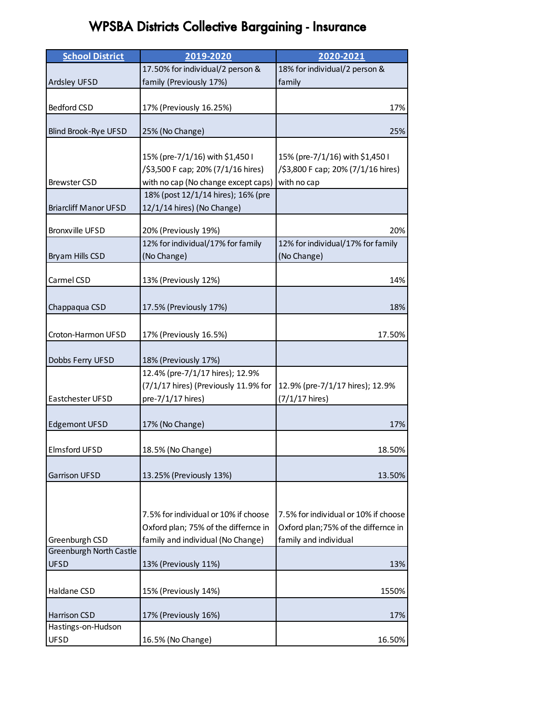## WPSBA Districts Collective Bargaining - Insurance

| <b>School District</b>         | 2019-2020                            | 2020-2021                            |
|--------------------------------|--------------------------------------|--------------------------------------|
|                                | 17.50% for individual/2 person &     | 18% for individual/2 person &        |
| Ardsley UFSD                   | family (Previously 17%)              | family                               |
|                                |                                      |                                      |
| Bedford CSD                    | 17% (Previously 16.25%)              | 17%                                  |
|                                |                                      |                                      |
| Blind Brook-Rye UFSD           | 25% (No Change)                      | 25%                                  |
|                                |                                      |                                      |
|                                | 15% (pre-7/1/16) with \$1,450 I      | 15% (pre-7/1/16) with \$1,450 I      |
|                                | /\$3,500 F cap; 20% (7/1/16 hires)   | /\$3,800 F cap; 20% (7/1/16 hires)   |
| <b>Brewster CSD</b>            | with no cap (No change except caps)  | with no cap                          |
|                                | 18% (post 12/1/14 hires); 16% (pre   |                                      |
| <b>Briarcliff Manor UFSD</b>   | 12/1/14 hires) (No Change)           |                                      |
| <b>Bronxville UFSD</b>         | 20% (Previously 19%)                 | 20%                                  |
|                                | 12% for individual/17% for family    | 12% for individual/17% for family    |
| Bryam Hills CSD                | (No Change)                          | (No Change)                          |
|                                |                                      |                                      |
| Carmel CSD                     | 13% (Previously 12%)                 | 14%                                  |
|                                |                                      |                                      |
| Chappaqua CSD                  | 17.5% (Previously 17%)               | 18%                                  |
|                                |                                      |                                      |
| Croton-Harmon UFSD             | 17% (Previously 16.5%)               | 17.50%                               |
|                                |                                      |                                      |
| Dobbs Ferry UFSD               | 18% (Previously 17%)                 |                                      |
|                                | 12.4% (pre-7/1/17 hires); 12.9%      |                                      |
|                                | (7/1/17 hires) (Previously 11.9% for | 12.9% (pre-7/1/17 hires); 12.9%      |
| Eastchester UFSD               | pre-7/1/17 hires)                    | $(7/1/17$ hires)                     |
|                                |                                      |                                      |
| <b>Edgemont UFSD</b>           | 17% (No Change)                      | 17%                                  |
|                                |                                      |                                      |
| Elmsford UFSD                  | 18.5% (No Change)                    | 18.50%                               |
|                                |                                      |                                      |
| <b>Garrison UFSD</b>           | 13.25% (Previously 13%)              | 13.50%                               |
|                                |                                      |                                      |
|                                |                                      |                                      |
|                                | 7.5% for individual or 10% if choose | 7.5% for individual or 10% if choose |
|                                | Oxford plan; 75% of the differnce in | Oxford plan; 75% of the differnce in |
| Greenburgh CSD                 | family and individual (No Change)    | family and individual                |
| <b>Greenburgh North Castle</b> |                                      |                                      |
| <b>UFSD</b>                    | 13% (Previously 11%)                 | 13%                                  |
|                                |                                      |                                      |
| Haldane CSD                    | 15% (Previously 14%)                 | 1550%                                |
|                                |                                      |                                      |
| Harrison CSD                   | 17% (Previously 16%)                 | 17%                                  |
| Hastings-on-Hudson             |                                      |                                      |
| <b>UFSD</b>                    | 16.5% (No Change)                    | 16.50%                               |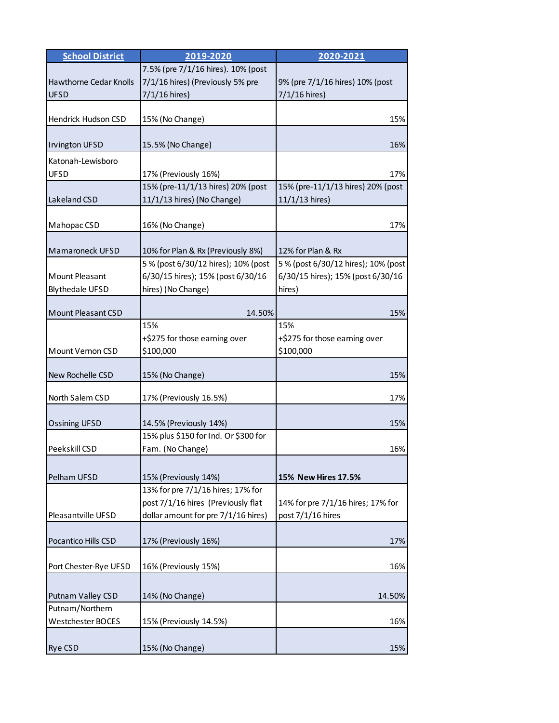| <b>School District</b>                | 2019-2020                                                      | 2020-2021                           |
|---------------------------------------|----------------------------------------------------------------|-------------------------------------|
|                                       | 7.5% (pre 7/1/16 hires). 10% (post                             |                                     |
| Hawthorne Cedar Knolls<br><b>UFSD</b> | 7/1/16 hires) (Previously 5% pre                               | 9% (pre 7/1/16 hires) 10% (post     |
|                                       | $7/1/16$ hires)                                                | $7/1/16$ hires)                     |
| Hendrick Hudson CSD                   | 15% (No Change)                                                | 15%                                 |
|                                       |                                                                |                                     |
| <b>Invington UFSD</b>                 | 15.5% (No Change)                                              | 16%                                 |
| Katonah-Lewisboro                     |                                                                |                                     |
| UFSD                                  | 17% (Previously 16%)                                           | 17%                                 |
|                                       | 15% (pre-11/1/13 hires) 20% (post                              | 15% (pre-11/1/13 hires) 20% (post   |
| Lakeland CSD                          | 11/1/13 hires) (No Change)                                     | 11/1/13 hires)                      |
| Mahopac CSD                           | 16% (No Change)                                                | 17%                                 |
|                                       |                                                                |                                     |
| <b>Mamaroneck UFSD</b>                | 10% for Plan & Rx (Previously 8%)                              | 12% for Plan & Rx                   |
|                                       | 5 % (post 6/30/12 hires); 10% (post                            | 5 % (post 6/30/12 hires); 10% (post |
| <b>Mount Pleasant</b>                 | 6/30/15 hires); 15% (post 6/30/16                              | 6/30/15 hires); 15% (post 6/30/16   |
| <b>Blythedale UFSD</b>                | hires) (No Change)                                             | hires)                              |
| <b>Mount Pleasant CSD</b>             | 14.50%                                                         | 15%                                 |
|                                       | 15%                                                            | 15%                                 |
|                                       | +\$275 for those earning over                                  | +\$275 for those earning over       |
| Mount Vernon CSD                      | \$100,000                                                      | \$100,000                           |
|                                       |                                                                |                                     |
| New Rochelle CSD                      | 15% (No Change)                                                | 15%                                 |
| North Salem CSD                       | 17% (Previously 16.5%)                                         | 17%                                 |
|                                       |                                                                | 15%                                 |
| <b>Ossining UFSD</b>                  | 14.5% (Previously 14%)<br>15% plus \$150 for Ind. Or \$300 for |                                     |
| Peekskill CSD                         | Fam. (No Change)                                               | 16%                                 |
|                                       |                                                                |                                     |
| Pelham UFSD                           | 15% (Previously 14%)                                           | 15% New Hires 17.5%                 |
|                                       | 13% for pre 7/1/16 hires; 17% for                              |                                     |
|                                       | post 7/1/16 hires (Previously flat                             | 14% for pre 7/1/16 hires; 17% for   |
| Pleasantville UFSD                    | dollar amount for pre 7/1/16 hires)                            | post 7/1/16 hires                   |
|                                       |                                                                |                                     |
| Pocantico Hills CSD                   | 17% (Previously 16%)                                           | 17%                                 |
| Port Chester-Rye UFSD                 | 16% (Previously 15%)                                           | 16%                                 |
|                                       |                                                                |                                     |
| Putnam Valley CSD                     | 14% (No Change)                                                | 14.50%                              |
| Putnam/Northern                       |                                                                |                                     |
| Westchester BOCES                     | 15% (Previously 14.5%)                                         | 16%                                 |
|                                       |                                                                |                                     |
| <b>Rye CSD</b>                        | 15% (No Change)                                                | 15%                                 |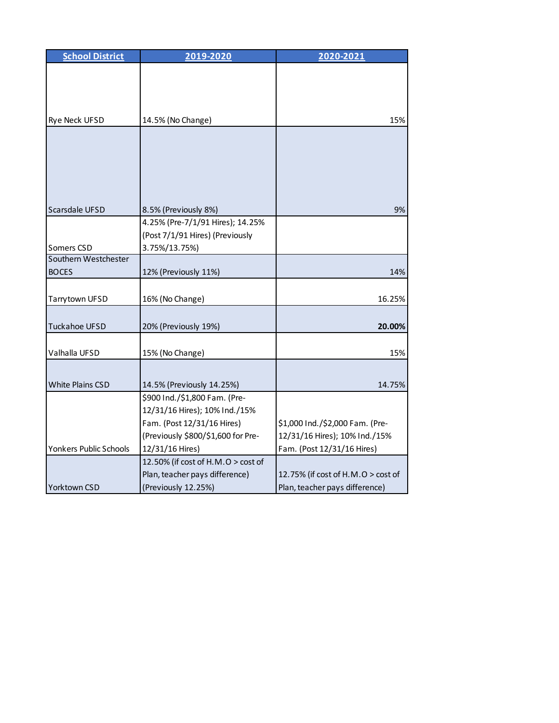| <b>School District</b> | 2019-2020                          | 2020-2021                          |
|------------------------|------------------------------------|------------------------------------|
|                        |                                    |                                    |
|                        |                                    |                                    |
|                        |                                    |                                    |
|                        |                                    |                                    |
| Rye Neck UFSD          | 14.5% (No Change)                  | 15%                                |
|                        |                                    |                                    |
|                        |                                    |                                    |
|                        |                                    |                                    |
|                        |                                    |                                    |
|                        |                                    |                                    |
| Scarsdale UFSD         | 8.5% (Previously 8%)               | 9%                                 |
|                        | 4.25% (Pre-7/1/91 Hires); 14.25%   |                                    |
|                        | (Post 7/1/91 Hires) (Previously    |                                    |
| Somers CSD             | 3.75%/13.75%)                      |                                    |
| Southern Westchester   |                                    |                                    |
| <b>BOCES</b>           | 12% (Previously 11%)               | 14%                                |
|                        |                                    |                                    |
| Tarrytown UFSD         | 16% (No Change)                    | 16.25%                             |
|                        |                                    |                                    |
| <b>Tuckahoe UFSD</b>   | 20% (Previously 19%)               | 20.00%                             |
|                        |                                    |                                    |
| Valhalla UFSD          | 15% (No Change)                    | 15%                                |
|                        |                                    |                                    |
| White Plains CSD       | 14.5% (Previously 14.25%)          | 14.75%                             |
|                        | \$900 Ind./\$1,800 Fam. (Pre-      |                                    |
|                        | 12/31/16 Hires); 10% Ind./15%      |                                    |
|                        | Fam. (Post 12/31/16 Hires)         | \$1,000 Ind./\$2,000 Fam. (Pre-    |
|                        | (Previously \$800/\$1,600 for Pre- | 12/31/16 Hires); 10% Ind./15%      |
| Yonkers Public Schools | 12/31/16 Hires)                    | Fam. (Post 12/31/16 Hires)         |
|                        | 12.50% (if cost of H.M.O > cost of |                                    |
|                        | Plan, teacher pays difference)     | 12.75% (if cost of H.M.O > cost of |
| Yorktown CSD           | (Previously 12.25%)                | Plan, teacher pays difference)     |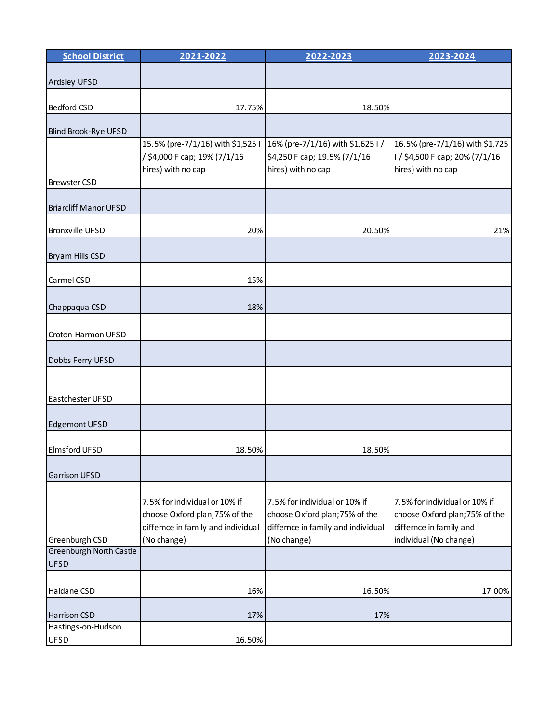| <b>School District</b>                        | 2021-2022                                                                                                            | 2022-2023                                                                                                            | 2023-2024                                                                                                            |
|-----------------------------------------------|----------------------------------------------------------------------------------------------------------------------|----------------------------------------------------------------------------------------------------------------------|----------------------------------------------------------------------------------------------------------------------|
| Ardsley UFSD                                  |                                                                                                                      |                                                                                                                      |                                                                                                                      |
| <b>Bedford CSD</b>                            | 17.75%                                                                                                               | 18.50%                                                                                                               |                                                                                                                      |
| Blind Brook-Rye UFSD                          |                                                                                                                      |                                                                                                                      |                                                                                                                      |
| <b>Brewster CSD</b>                           | 15.5% (pre-7/1/16) with \$1,525 I<br>/ \$4,000 F cap; 19% (7/1/16<br>hires) with no cap                              | 16% (pre-7/1/16) with \$1,625 I /<br>\$4,250 F cap; 19.5% (7/1/16<br>hires) with no cap                              | 16.5% (pre-7/1/16) with \$1,725<br>I / \$4,500 F cap; 20% (7/1/16<br>hires) with no cap                              |
| <b>Briarcliff Manor UFSD</b>                  |                                                                                                                      |                                                                                                                      |                                                                                                                      |
| <b>Bronxville UFSD</b>                        | 20%                                                                                                                  | 20.50%                                                                                                               | 21%                                                                                                                  |
| Bryam Hills CSD                               |                                                                                                                      |                                                                                                                      |                                                                                                                      |
| Carmel CSD                                    | 15%                                                                                                                  |                                                                                                                      |                                                                                                                      |
| Chappaqua CSD                                 | 18%                                                                                                                  |                                                                                                                      |                                                                                                                      |
| Croton-Harmon UFSD                            |                                                                                                                      |                                                                                                                      |                                                                                                                      |
| Dobbs Ferry UFSD                              |                                                                                                                      |                                                                                                                      |                                                                                                                      |
| Eastchester UFSD                              |                                                                                                                      |                                                                                                                      |                                                                                                                      |
| <b>Edgemont UFSD</b>                          |                                                                                                                      |                                                                                                                      |                                                                                                                      |
| Elmsford UFSD                                 | 18.50%                                                                                                               | 18.50%                                                                                                               |                                                                                                                      |
| <b>Garrison UFSD</b>                          |                                                                                                                      |                                                                                                                      |                                                                                                                      |
| Greenburgh CSD                                | 7.5% for individual or 10% if<br>choose Oxford plan; 75% of the<br>differnce in family and individual<br>(No change) | 7.5% for individual or 10% if<br>choose Oxford plan; 75% of the<br>differnce in family and individual<br>(No change) | 7.5% for individual or 10% if<br>choose Oxford plan; 75% of the<br>differnce in family and<br>individual (No change) |
| <b>Greenburgh North Castle</b><br><b>UFSD</b> |                                                                                                                      |                                                                                                                      |                                                                                                                      |
| Haldane CSD                                   | 16%                                                                                                                  | 16.50%                                                                                                               | 17.00%                                                                                                               |
| Harrison CSD                                  | 17%                                                                                                                  | 17%                                                                                                                  |                                                                                                                      |
| Hastings-on-Hudson<br><b>UFSD</b>             | 16.50%                                                                                                               |                                                                                                                      |                                                                                                                      |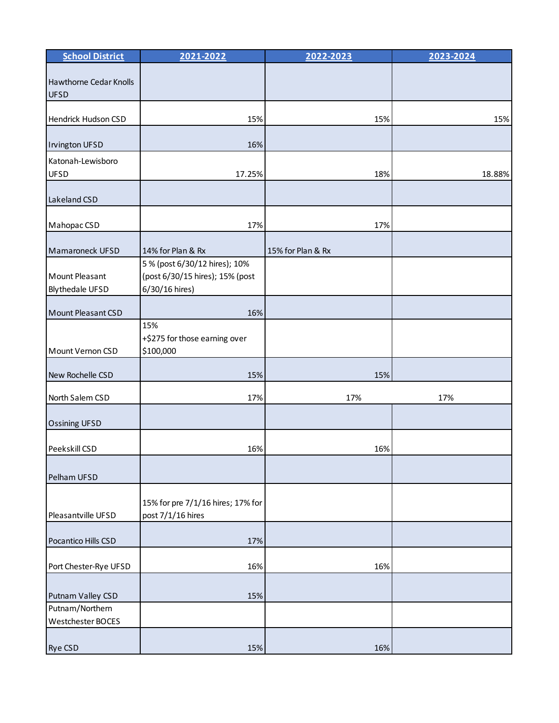| <b>School District</b>                   | 2021-2022                                                                          | 2022-2023         | 2023-2024 |
|------------------------------------------|------------------------------------------------------------------------------------|-------------------|-----------|
| Hawthorne Cedar Knolls<br><b>UFSD</b>    |                                                                                    |                   |           |
| Hendrick Hudson CSD                      | 15%                                                                                | 15%               | 15%       |
| <b>Invington UFSD</b>                    | 16%                                                                                |                   |           |
| Katonah-Lewisboro<br><b>UFSD</b>         | 17.25%                                                                             | 18%               | 18.88%    |
| Lakeland CSD                             |                                                                                    |                   |           |
| Mahopac CSD                              | 17%                                                                                | 17%               |           |
| Mamaroneck UFSD                          | 14% for Plan & Rx                                                                  | 15% for Plan & Rx |           |
| Mount Pleasant<br><b>Blythedale UFSD</b> | 5 % (post 6/30/12 hires); 10%<br>(post 6/30/15 hires); 15% (post<br>6/30/16 hires) |                   |           |
| Mount Pleasant CSD                       | 16%                                                                                |                   |           |
| Mount Vernon CSD                         | 15%<br>+\$275 for those earning over<br>\$100,000                                  |                   |           |
| New Rochelle CSD                         | 15%                                                                                | 15%               |           |
| North Salem CSD                          | 17%                                                                                | 17%               | 17%       |
| <b>Ossining UFSD</b>                     |                                                                                    |                   |           |
| Peekskill CSD                            | 16%                                                                                | 16%               |           |
| Pelham UFSD                              |                                                                                    |                   |           |
| Pleasantville UFSD                       | 15% for pre 7/1/16 hires; 17% for<br>post 7/1/16 hires                             |                   |           |
| Pocantico Hills CSD                      | 17%                                                                                |                   |           |
| Port Chester-Rye UFSD                    | 16%                                                                                | 16%               |           |
| Putnam Valley CSD                        | 15%                                                                                |                   |           |
| Putnam/Northern<br>Westchester BOCES     |                                                                                    |                   |           |
| <b>Rye CSD</b>                           | 15%                                                                                | 16%               |           |